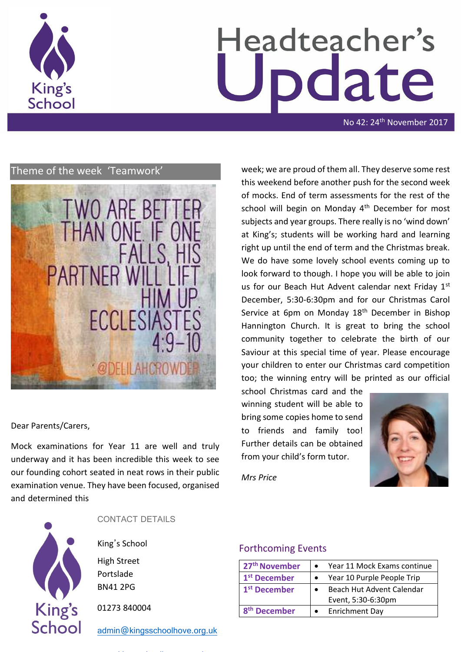

# Headteacher's date

No 42: 24<sup>th</sup> November 2017

# Theme of the week 'Teamwork'



# Dear Parents/Carers,

Mock examinations for Year 11 are well and truly underway and it has been incredible this week to see our founding cohort seated in neat rows in their public examination venue. They have been focused, organised and determined this



CONTACT DETAILS

King's School

High Street Portslade BN41 2PG

01273 840004

[admin@kingsschoolhove.org.uk](mailto:admin@kingsschoolhove.org.uk)

week; we are proud of them all. They deserve some rest this weekend before another push for the second week of mocks. End of term assessments for the rest of the school will begin on Monday 4<sup>th</sup> December for most subjects and year groups. There really is no 'wind down' at King's; students will be working hard and learning right up until the end of term and the Christmas break. We do have some lovely school events coming up to look forward to though. I hope you will be able to join us for our Beach Hut Advent calendar next Friday 1st December, 5:30-6:30pm and for our Christmas Carol Service at 6pm on Monday 18<sup>th</sup> December in Bishop Hannington Church. It is great to bring the school community together to celebrate the birth of our Saviour at this special time of year. Please encourage your children to enter our Christmas card competition too; the winning entry will be printed as our official

school Christmas card and the winning student will be able to bring some copies home to send to friends and family too! Further details can be obtained from your child's form tutor.



*Mrs Price* 

# Forthcoming Events

| 27 <sup>th</sup> November | Year 11 Mock Exams continue |
|---------------------------|-----------------------------|
| 1 <sup>st</sup> December  | Year 10 Purple People Trip  |
| 1 <sup>st</sup> December  | Beach Hut Advent Calendar   |
|                           | Event, 5:30-6:30pm          |
| <b>December</b>           | <b>Enrichment Day</b>       |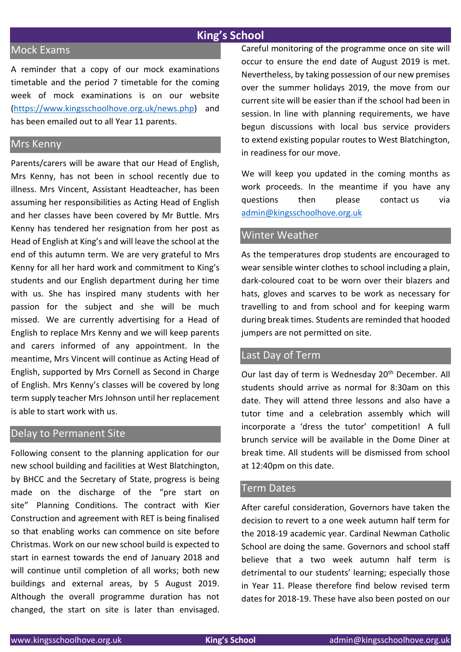# **King's School**

# Mock Exams

A reminder that a copy of our mock examinations timetable and the period 7 timetable for the coming week of mock examinations is on our website [\(https://www.kingsschoolhove.org.uk/news.php\)](https://www.kingsschoolhove.org.uk/news.php) and has been emailed out to all Year 11 parents.

## Mrs Kenny

Parents/carers will be aware that our Head of English, Mrs Kenny, has not been in school recently due to illness. Mrs Vincent, Assistant Headteacher, has been assuming her responsibilities as Acting Head of English and her classes have been covered by Mr Buttle. Mrs Kenny has tendered her resignation from her post as Head of English at King's and will leave the school at the end of this autumn term. We are very grateful to Mrs Kenny for all her hard work and commitment to King's students and our English department during her time with us. She has inspired many students with her passion for the subject and she will be much missed. We are currently advertising for a Head of English to replace Mrs Kenny and we will keep parents and carers informed of any appointment. In the meantime, Mrs Vincent will continue as Acting Head of English, supported by Mrs Cornell as Second in Charge of English. Mrs Kenny's classes will be covered by long term supply teacher Mrs Johnson until her replacement is able to start work with us.

## Delay to Permanent Site

Following consent to the planning application for our new school building and facilities at West Blatchington, by BHCC and the Secretary of State, progress is being made on the discharge of the "pre start on site" Planning Conditions. The contract with Kier Construction and agreement with RET is being finalised so that enabling works can commence on site before Christmas. Work on our new school build is expected to start in earnest towards the end of January 2018 and will continue until completion of all works; both new buildings and external areas, by 5 August 2019. Although the overall programme duration has not changed, the start on site is later than envisaged. Careful monitoring of the programme once on site will occur to ensure the end date of August 2019 is met. Nevertheless, by taking possession of our new premises over the summer holidays 2019, the move from our current site will be easier than if the school had been in session. In line with planning requirements, we have begun discussions with local bus service providers to extend existing popular routes to West Blatchington, in readiness for our move.

We will keep you updated in the coming months as work proceeds. In the meantime if you have any questions then please contact us via [admin@kingsschoolhove.org.uk](mailto:admin@kingsschoolhove.org.uk)

# Winter Weather

As the temperatures drop students are encouraged to wear sensible winter clothes to school including a plain, dark-coloured coat to be worn over their blazers and hats, gloves and scarves to be work as necessary for travelling to and from school and for keeping warm during break times. Students are reminded that hooded jumpers are not permitted on site.

# Last Day of Term

Our last day of term is Wednesday 20<sup>th</sup> December. All students should arrive as normal for 8:30am on this date. They will attend three lessons and also have a tutor time and a celebration assembly which will incorporate a 'dress the tutor' competition! A full brunch service will be available in the Dome Diner at break time. All students will be dismissed from school at 12:40pm on this date.

#### Term Dates

After careful consideration, Governors have taken the decision to revert to a one week autumn half term for the 2018-19 academic year. Cardinal Newman Catholic School are doing the same. Governors and school staff believe that a two week autumn half term is detrimental to our students' learning; especially those in Year 11. Please therefore find below revised term dates for 2018-19. These have also been posted on our